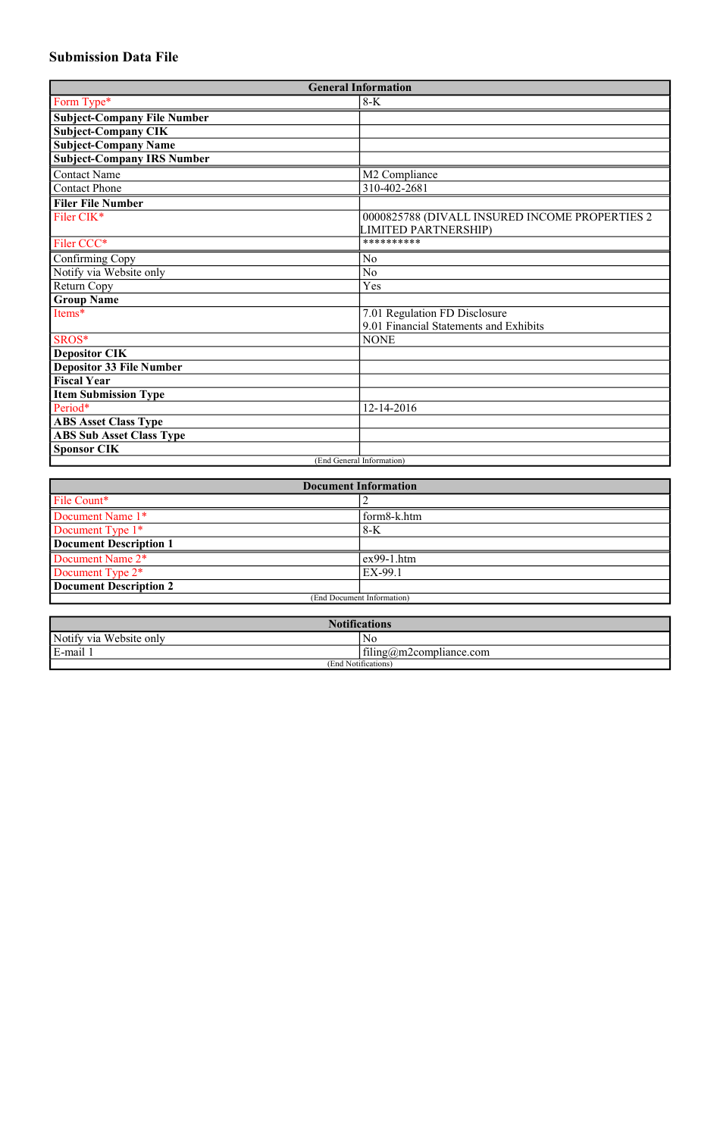## **Submission Data File**

| <b>General Information</b>                      |                                                |  |  |  |
|-------------------------------------------------|------------------------------------------------|--|--|--|
| Form Type*                                      | $8-K$                                          |  |  |  |
| <b>Subject-Company File Number</b>              |                                                |  |  |  |
| <b>Subject-Company CIK</b>                      |                                                |  |  |  |
| <b>Subject-Company Name</b>                     |                                                |  |  |  |
| <b>Subject-Company IRS Number</b>               |                                                |  |  |  |
| <b>Contact Name</b>                             | M2 Compliance                                  |  |  |  |
| <b>Contact Phone</b>                            | 310-402-2681                                   |  |  |  |
| <b>Filer File Number</b>                        |                                                |  |  |  |
| Filer CIK*                                      | 0000825788 (DIVALL INSURED INCOME PROPERTIES 2 |  |  |  |
|                                                 | <b>LIMITED PARTNERSHIP)</b>                    |  |  |  |
| Filer CCC*                                      | **********                                     |  |  |  |
| Confirming Copy                                 | N <sub>o</sub>                                 |  |  |  |
| Notify via Website only                         | N <sub>o</sub>                                 |  |  |  |
| Return Copy                                     | Yes                                            |  |  |  |
| <b>Group Name</b>                               |                                                |  |  |  |
| Items*                                          | 7.01 Regulation FD Disclosure                  |  |  |  |
|                                                 | 9.01 Financial Statements and Exhibits         |  |  |  |
| SROS*                                           | <b>NONE</b>                                    |  |  |  |
| <b>Depositor CIK</b>                            |                                                |  |  |  |
| <b>Depositor 33 File Number</b>                 |                                                |  |  |  |
| <b>Fiscal Year</b>                              |                                                |  |  |  |
| <b>Item Submission Type</b>                     |                                                |  |  |  |
| Period*                                         | 12-14-2016                                     |  |  |  |
| <b>ABS Asset Class Type</b>                     |                                                |  |  |  |
| <b>ABS Sub Asset Class Type</b>                 |                                                |  |  |  |
| <b>Sponsor CIK</b><br>(End General Information) |                                                |  |  |  |
|                                                 |                                                |  |  |  |

| <b>Document Information</b>   |              |  |  |
|-------------------------------|--------------|--|--|
| File Count*                   |              |  |  |
| Document Name 1*              | form8-k.htm  |  |  |
| Document Type 1*              | $8-K$        |  |  |
| Document Description 1        |              |  |  |
| Document Name 2 <sup>*</sup>  | $ex99-1.htm$ |  |  |
| Document Type 2 <sup>*</sup>  | EX-99.1      |  |  |
| <b>Document Description 2</b> |              |  |  |
| (End Document Information)    |              |  |  |

| <b>Notifications</b>    |                                     |  |  |  |
|-------------------------|-------------------------------------|--|--|--|
| Notify via Website only | ΙNΟ                                 |  |  |  |
| E-mail 1                | $\text{filing}(a)$ m2compliance.com |  |  |  |
| (End Notifications)     |                                     |  |  |  |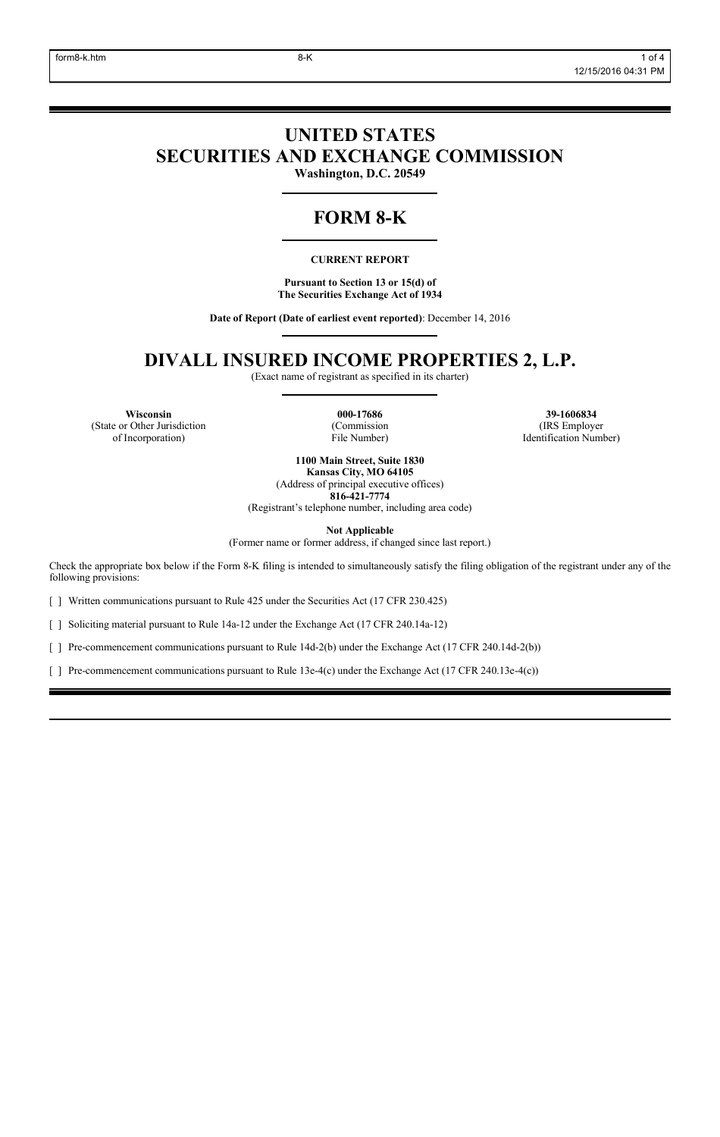# **UNITED STATES SECURITIES AND EXCHANGE COMMISSION**

**Washington, D.C. 20549**

# **FORM 8-K**

## **CURRENT REPORT**

**Pursuant to Section 13 or 15(d) of The Securities Exchange Act of 1934**

**Date of Report (Date of earliest event reported)**: December 14, 2016

# **DIVALL INSURED INCOME PROPERTIES 2, L.P.**

(Exact name of registrant as specified in its charter)

**Wisconsin 000-17686 39-1606834** (State or Other Jurisdiction of Incorporation)

(Commission File Number)

(IRS Employer Identification Number)

**1100 Main Street, Suite 1830 Kansas City, MO 64105** (Address of principal executive offices) **816-421-7774**

(Registrant's telephone number, including area code)

**Not Applicable**

(Former name or former address, if changed since last report.)

Check the appropriate box below if the Form 8-K filing is intended to simultaneously satisfy the filing obligation of the registrant under any of the following provisions:

[ ] Written communications pursuant to Rule 425 under the Securities Act (17 CFR 230.425)

[ ] Soliciting material pursuant to Rule 14a-12 under the Exchange Act (17 CFR 240.14a-12)

[ ] Pre-commencement communications pursuant to Rule 14d-2(b) under the Exchange Act (17 CFR 240.14d-2(b))

[ ] Pre-commencement communications pursuant to Rule 13e-4(c) under the Exchange Act (17 CFR 240.13e-4(c))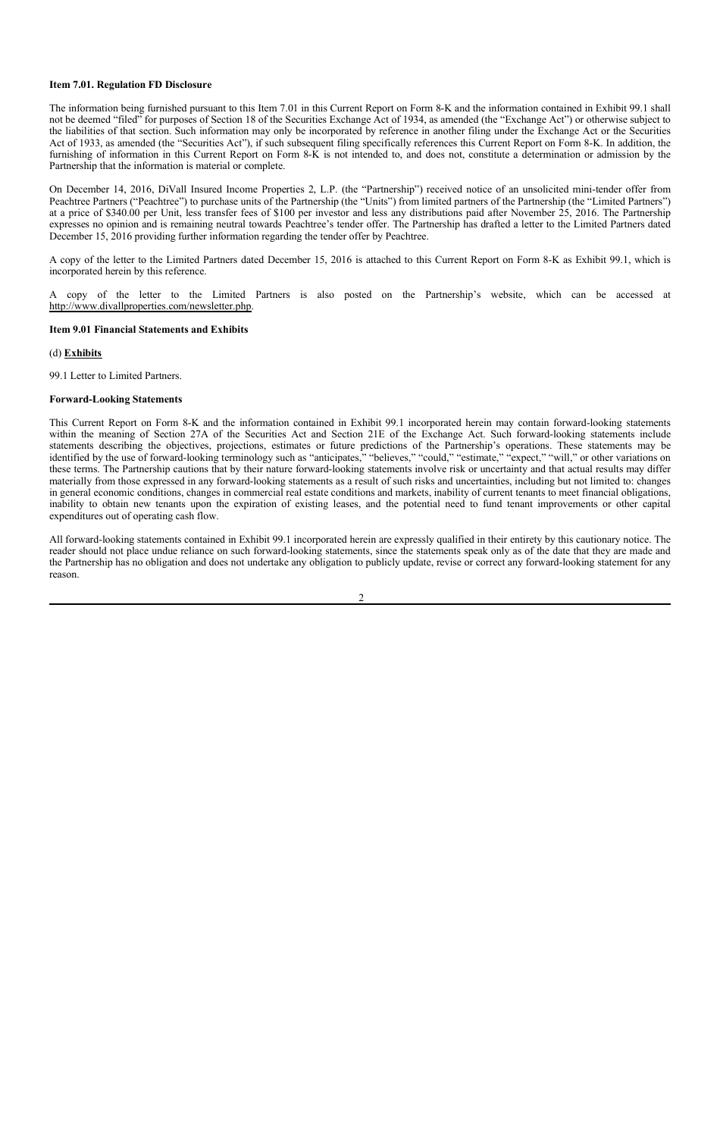## **Item 7.01. Regulation FD Disclosure**

The information being furnished pursuant to this Item 7.01 in this Current Report on Form 8-K and the information contained in Exhibit 99.1 shall not be deemed "filed" for purposes of Section 18 of the Securities Exchange Act of 1934, as amended (the "Exchange Act") or otherwise subject to the liabilities of that section. Such information may only be incorporated by reference in another filing under the Exchange Act or the Securities Act of 1933, as amended (the "Securities Act"), if such subsequent filing specifically references this Current Report on Form 8-K. In addition, the furnishing of information in this Current Report on Form 8-K is not intended to, and does not, constitute a determination or admission by the Partnership that the information is material or complete.

On December 14, 2016, DiVall Insured Income Properties 2, L.P. (the "Partnership") received notice of an unsolicited mini-tender offer from Peachtree Partners ("Peachtree") to purchase units of the Partnership (the "Units") from limited partners of the Partnership (the "Limited Partners") at a price of \$340.00 per Unit, less transfer fees of \$100 per investor and less any distributions paid after November 25, 2016. The Partnership expresses no opinion and is remaining neutral towards Peachtree's tender offer. The Partnership has drafted a letter to the Limited Partners dated December 15, 2016 providing further information regarding the tender offer by Peachtree.

A copy of the letter to the Limited Partners dated December 15, 2016 is attached to this Current Report on Form 8-K as Exhibit 99.1, which is incorporated herein by this reference.

A copy of the letter to the Limited Partners is also posted on the Partnership's website, which can be accessed at http://www.divallproperties.com/newsletter.php.

## **Item 9.01 Financial Statements and Exhibits**

## (d) **Exhibits**

99.1 Letter to Limited Partners.

## **Forward-Looking Statements**

This Current Report on Form 8-K and the information contained in Exhibit 99.1 incorporated herein may contain forward-looking statements within the meaning of Section 27A of the Securities Act and Section 21E of the Exchange Act. Such forward-looking statements include statements describing the objectives, projections, estimates or future predictions of the Partnership's operations. These statements may be identified by the use of forward-looking terminology such as "anticipates," "believes," "could," "estimate," "expect," "will," or other variations on these terms. The Partnership cautions that by their nature forward-looking statements involve risk or uncertainty and that actual results may differ materially from those expressed in any forward-looking statements as a result of such risks and uncertainties, including but not limited to: changes in general economic conditions, changes in commercial real estate conditions and markets, inability of current tenants to meet financial obligations, inability to obtain new tenants upon the expiration of existing leases, and the potential need to fund tenant improvements or other capital expenditures out of operating cash flow.

All forward-looking statements contained in Exhibit 99.1 incorporated herein are expressly qualified in their entirety by this cautionary notice. The reader should not place undue reliance on such forward-looking statements, since the statements speak only as of the date that they are made and the Partnership has no obligation and does not undertake any obligation to publicly update, revise or correct any forward-looking statement for any reason.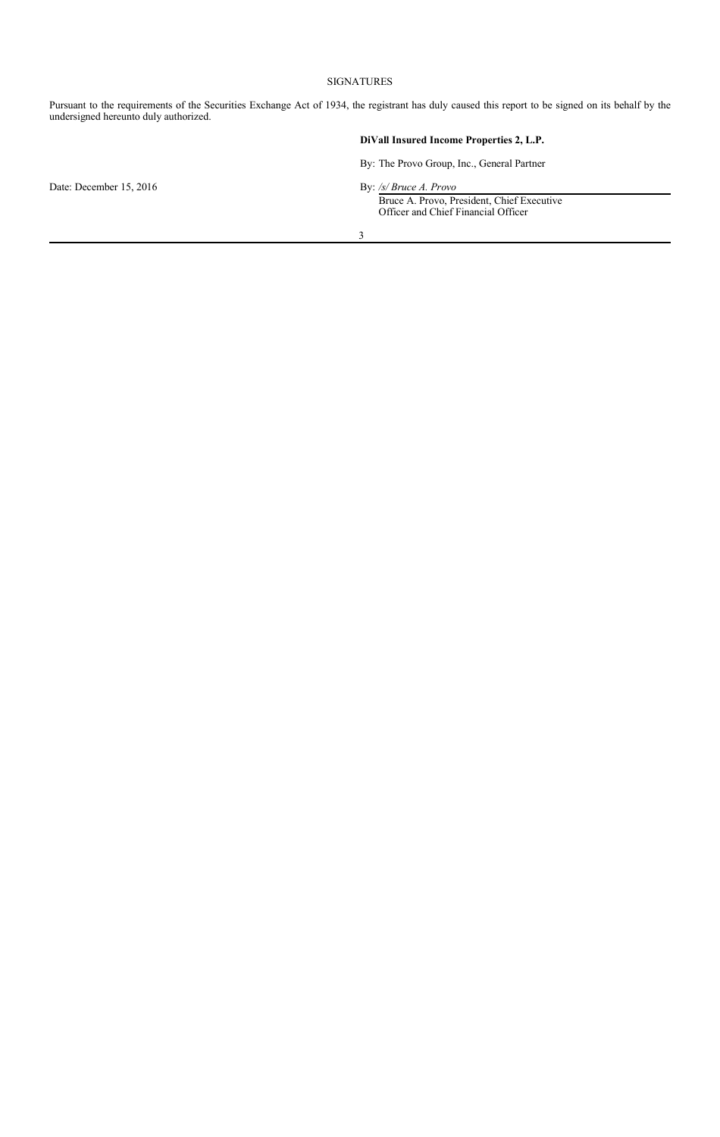## SIGNATURES

Pursuant to the requirements of the Securities Exchange Act of 1934, the registrant has duly caused this report to be signed on its behalf by the undersigned hereunto duly authorized.

|  |  |  | DiVall Insured Income Properties 2, L.P. |  |  |
|--|--|--|------------------------------------------|--|--|
|--|--|--|------------------------------------------|--|--|

By: The Provo Group, Inc., General Partner

Date: December 15, 2016 By: */s/ Bruce A. Provo* 

Bruce A. Provo, President, Chief Executive Officer and Chief Financial Officer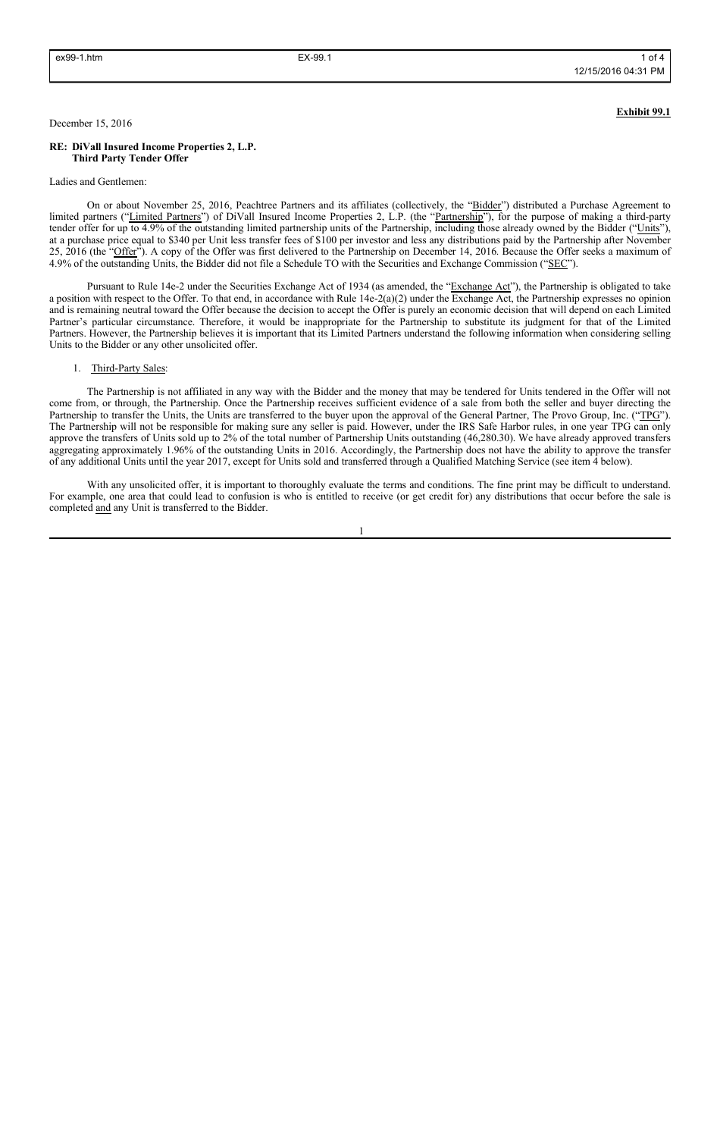## **Exhibit 99.1**

### December 15, 2016

## **RE: DiVall Insured Income Properties 2, L.P. Third Party Tender Offer**

#### Ladies and Gentlemen:

On or about November 25, 2016, Peachtree Partners and its affiliates (collectively, the "Bidder") distributed a Purchase Agreement to limited partners ("Limited Partners") of DiVall Insured Income Properties 2, L.P. (the "Partnership"), for the purpose of making a third-party tender offer for up to 4.9% of the outstanding limited partnership units of the Partnership, including those already owned by the Bidder ("Units"), at a purchase price equal to \$340 per Unit less transfer fees of \$100 per investor and less any distributions paid by the Partnership after November 25, 2016 (the "Offer"). A copy of the Offer was first delivered to the Partnership on December 14, 2016. Because the Offer seeks a maximum of 4.9% of the outstanding Units, the Bidder did not file a Schedule TO with the Securities and Exchange Commission ("SEC").

Pursuant to Rule 14e-2 under the Securities Exchange Act of 1934 (as amended, the "Exchange Act"), the Partnership is obligated to take a position with respect to the Offer. To that end, in accordance with Rule 14e-2(a)(2) under the Exchange Act, the Partnership expresses no opinion and is remaining neutral toward the Offer because the decision to accept the Offer is purely an economic decision that will depend on each Limited Partner's particular circumstance. Therefore, it would be inappropriate for the Partnership to substitute its judgment for that of the Limited Partners. However, the Partnership believes it is important that its Limited Partners understand the following information when considering selling Units to the Bidder or any other unsolicited offer.

### 1. Third-Party Sales:

The Partnership is not affiliated in any way with the Bidder and the money that may be tendered for Units tendered in the Offer will not come from, or through, the Partnership. Once the Partnership receives sufficient evidence of a sale from both the seller and buyer directing the Partnership to transfer the Units, the Units are transferred to the buyer upon the approval of the General Partner, The Provo Group, Inc. ("TPG"). The Partnership will not be responsible for making sure any seller is paid. However, under the IRS Safe Harbor rules, in one year TPG can only approve the transfers of Units sold up to 2% of the total number of Partnership Units outstanding (46,280.30). We have already approved transfers aggregating approximately 1.96% of the outstanding Units in 2016. Accordingly, the Partnership does not have the ability to approve the transfer of any additional Units until the year 2017, except for Units sold and transferred through a Qualified Matching Service (see item 4 below).

With any unsolicited offer, it is important to thoroughly evaluate the terms and conditions. The fine print may be difficult to understand. For example, one area that could lead to confusion is who is entitled to receive (or get credit for) any distributions that occur before the sale is completed and any Unit is transferred to the Bidder.

1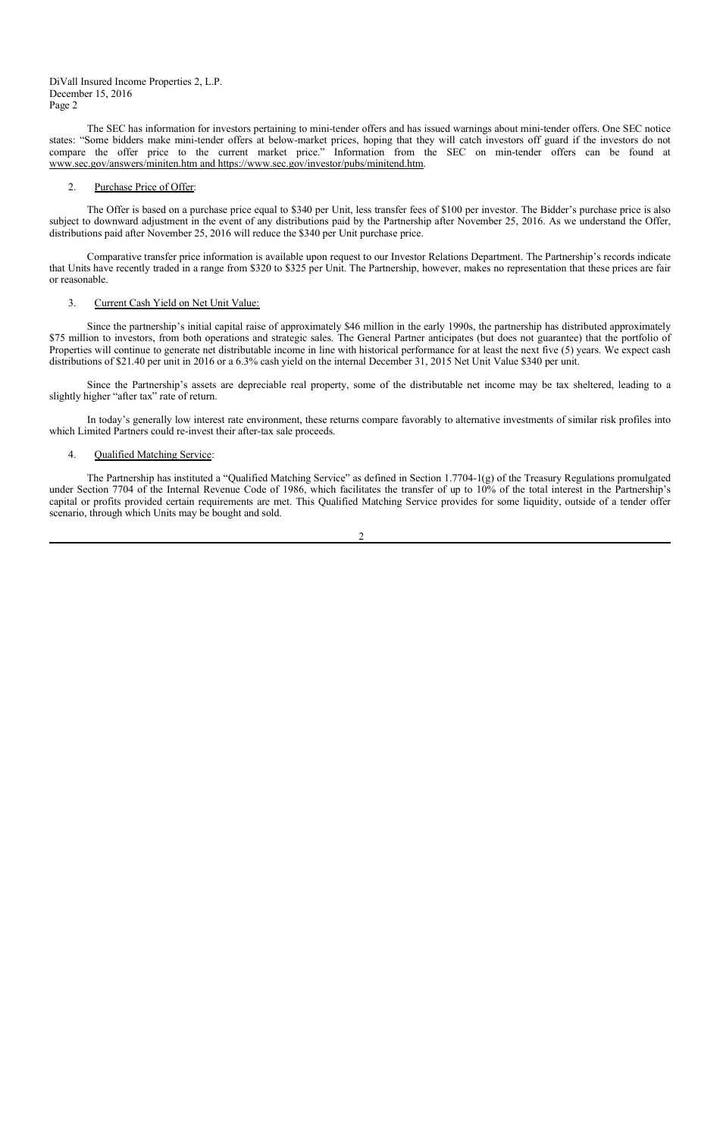The SEC has information for investors pertaining to mini-tender offers and has issued warnings about mini-tender offers. One SEC notice states: "Some bidders make mini-tender offers at below-market prices, hoping that they will catch investors off guard if the investors do not compare the offer price to the current market price." Information from the SEC on min-tender offers can be found at www.sec.gov/answers/miniten.htm and https://www.sec.gov/investor/pubs/minitend.htm.

## 2. Purchase Price of Offer:

The Offer is based on a purchase price equal to \$340 per Unit, less transfer fees of \$100 per investor. The Bidder's purchase price is also subject to downward adjustment in the event of any distributions paid by the Partnership after November 25, 2016. As we understand the Offer, distributions paid after November 25, 2016 will reduce the \$340 per Unit purchase price.

Comparative transfer price information is available upon request to our Investor Relations Department. The Partnership's records indicate that Units have recently traded in a range from \$320 to \$325 per Unit. The Partnership, however, makes no representation that these prices are fair or reasonable.

## 3. Current Cash Yield on Net Unit Value:

Since the partnership's initial capital raise of approximately \$46 million in the early 1990s, the partnership has distributed approximately \$75 million to investors, from both operations and strategic sales. The General Partner anticipates (but does not guarantee) that the portfolio of Properties will continue to generate net distributable income in line with historical performance for at least the next five (5) years. We expect cash distributions of \$21.40 per unit in 2016 or a 6.3% cash yield on the internal December 31, 2015 Net Unit Value \$340 per unit.

Since the Partnership's assets are depreciable real property, some of the distributable net income may be tax sheltered, leading to a slightly higher "after tax" rate of return.

In today's generally low interest rate environment, these returns compare favorably to alternative investments of similar risk profiles into which Limited Partners could re-invest their after-tax sale proceeds.

## 4. Qualified Matching Service:

The Partnership has instituted a "Qualified Matching Service" as defined in Section 1.7704-1(g) of the Treasury Regulations promulgated under Section 7704 of the Internal Revenue Code of 1986, which facilitates the transfer of up to 10% of the total interest in the Partnership's capital or profits provided certain requirements are met. This Qualified Matching Service provides for some liquidity, outside of a tender offer scenario, through which Units may be bought and sold.

 $\mathfrak{D}$